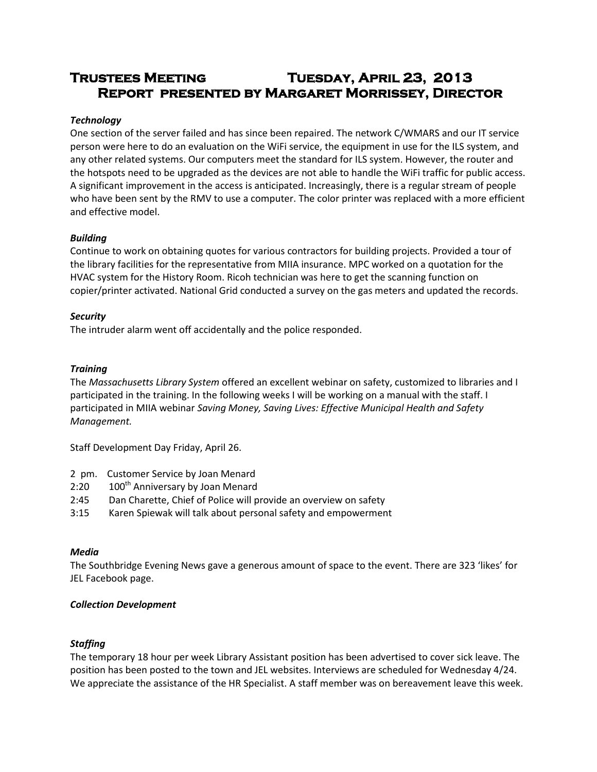# **Trustees Meeting Tuesday, April 23, 2013 Report presented by Margaret Morrissey, Director**

## *Technology*

One section of the server failed and has since been repaired. The network C/WMARS and our IT service person were here to do an evaluation on the WiFi service, the equipment in use for the ILS system, and any other related systems. Our computers meet the standard for ILS system. However, the router and the hotspots need to be upgraded as the devices are not able to handle the WiFi traffic for public access. A significant improvement in the access is anticipated. Increasingly, there is a regular stream of people who have been sent by the RMV to use a computer. The color printer was replaced with a more efficient and effective model.

## *Building*

Continue to work on obtaining quotes for various contractors for building projects. Provided a tour of the library facilities for the representative from MIIA insurance. MPC worked on a quotation for the HVAC system for the History Room. Ricoh technician was here to get the scanning function on copier/printer activated. National Grid conducted a survey on the gas meters and updated the records.

## *Security*

The intruder alarm went off accidentally and the police responded.

## *Training*

The *Massachusetts Library System* offered an excellent webinar on safety, customized to libraries and I participated in the training. In the following weeks I will be working on a manual with the staff. I participated in MIIA webinar *Saving Money, Saving Lives: Effective Municipal Health and Safety Management.*

Staff Development Day Friday, April 26.

- 2 pm. Customer Service by Joan Menard
- 2:20 100<sup>th</sup> Anniversary by Joan Menard
- 2:45 Dan Charette, Chief of Police will provide an overview on safety
- 3:15 Karen Spiewak will talk about personal safety and empowerment

## *Media*

The Southbridge Evening News gave a generous amount of space to the event. There are 323 'likes' for JEL Facebook page.

## *Collection Development*

# *Staffing*

The temporary 18 hour per week Library Assistant position has been advertised to cover sick leave. The position has been posted to the town and JEL websites. Interviews are scheduled for Wednesday 4/24. We appreciate the assistance of the HR Specialist. A staff member was on bereavement leave this week.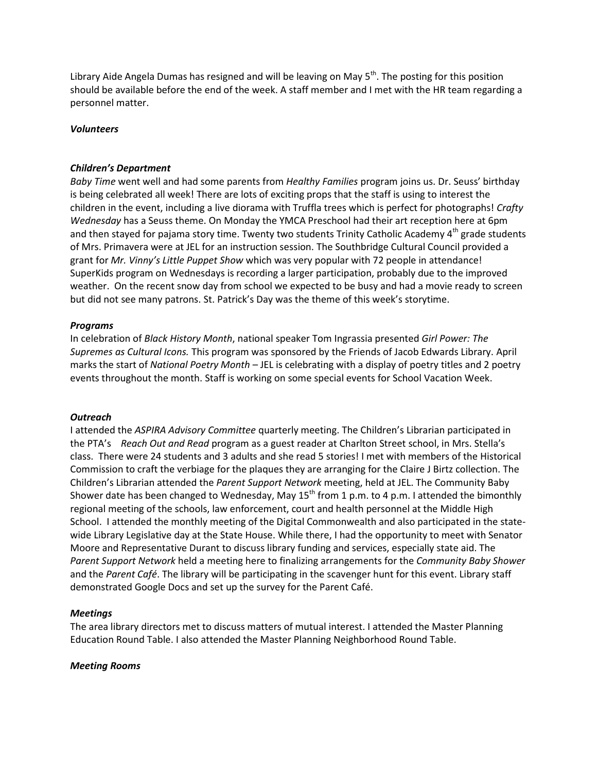Library Aide Angela Dumas has resigned and will be leaving on May 5<sup>th</sup>. The posting for this position should be available before the end of the week. A staff member and I met with the HR team regarding a personnel matter.

#### *Volunteers*

#### *Children's Department*

*Baby Time* went well and had some parents from *Healthy Families* program joins us. Dr. Seuss' birthday is being celebrated all week! There are lots of exciting props that the staff is using to interest the children in the event, including a live diorama with Truffla trees which is perfect for photographs! *Crafty Wednesday* has a Seuss theme. On Monday the YMCA Preschool had their art reception here at 6pm and then stayed for pajama story time. Twenty two students Trinity Catholic Academy 4<sup>th</sup> grade students of Mrs. Primavera were at JEL for an instruction session. The Southbridge Cultural Council provided a grant for *Mr. Vinny's Little Puppet Show* which was very popular with 72 people in attendance! SuperKids program on Wednesdays is recording a larger participation, probably due to the improved weather. On the recent snow day from school we expected to be busy and had a movie ready to screen but did not see many patrons. St. Patrick's Day was the theme of this week's storytime.

#### *Programs*

In celebration of *Black History Month*, national speaker Tom Ingrassia presented *Girl Power: The Supremes as Cultural Icons.* This program was sponsored by the Friends of Jacob Edwards Library. April marks the start of *National Poetry Month* – JEL is celebrating with a display of poetry titles and 2 poetry events throughout the month. Staff is working on some special events for School Vacation Week.

#### *Outreach*

I attended the *ASPIRA Advisory Committee* quarterly meeting. The Children's Librarian participated in the PTA's *Reach Out and Read* program as a guest reader at Charlton Street school, in Mrs. Stella's class. There were 24 students and 3 adults and she read 5 stories! I met with members of the Historical Commission to craft the verbiage for the plaques they are arranging for the Claire J Birtz collection. The Children's Librarian attended the *Parent Support Network* meeting, held at JEL. The Community Baby Shower date has been changed to Wednesday, May  $15^{th}$  from 1 p.m. to 4 p.m. I attended the bimonthly regional meeting of the schools, law enforcement, court and health personnel at the Middle High School. I attended the monthly meeting of the Digital Commonwealth and also participated in the statewide Library Legislative day at the State House. While there, I had the opportunity to meet with Senator Moore and Representative Durant to discuss library funding and services, especially state aid. The *Parent Support Network* held a meeting here to finalizing arrangements for the *Community Baby Shower* and the *Parent Café*. The library will be participating in the scavenger hunt for this event. Library staff demonstrated Google Docs and set up the survey for the Parent Café.

#### *Meetings*

The area library directors met to discuss matters of mutual interest. I attended the Master Planning Education Round Table. I also attended the Master Planning Neighborhood Round Table.

#### *Meeting Rooms*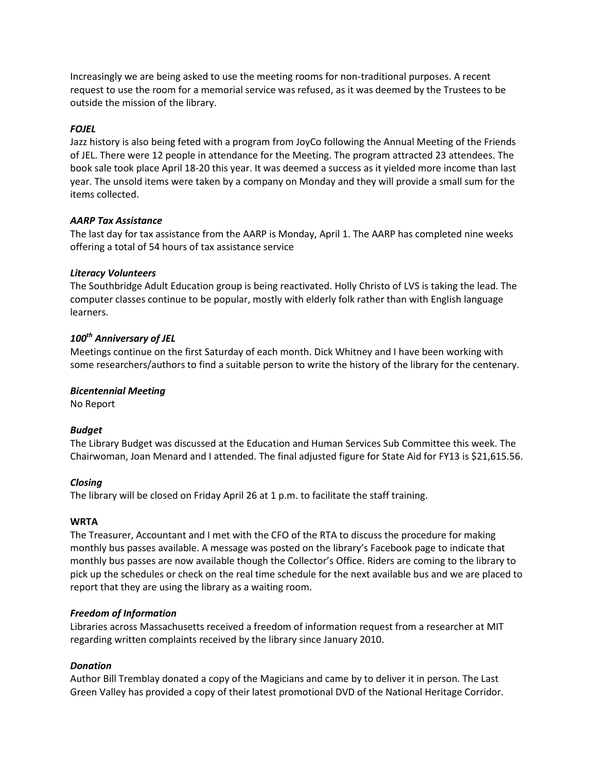Increasingly we are being asked to use the meeting rooms for non-traditional purposes. A recent request to use the room for a memorial service was refused, as it was deemed by the Trustees to be outside the mission of the library.

## *FOJEL*

Jazz history is also being feted with a program from JoyCo following the Annual Meeting of the Friends of JEL. There were 12 people in attendance for the Meeting. The program attracted 23 attendees. The book sale took place April 18-20 this year. It was deemed a success as it yielded more income than last year. The unsold items were taken by a company on Monday and they will provide a small sum for the items collected.

## *AARP Tax Assistance*

The last day for tax assistance from the AARP is Monday, April 1. The AARP has completed nine weeks offering a total of 54 hours of tax assistance service

## *Literacy Volunteers*

The Southbridge Adult Education group is being reactivated. Holly Christo of LVS is taking the lead. The computer classes continue to be popular, mostly with elderly folk rather than with English language learners.

# *100th Anniversary of JEL*

Meetings continue on the first Saturday of each month. Dick Whitney and I have been working with some researchers/authors to find a suitable person to write the history of the library for the centenary.

## *Bicentennial Meeting*

No Report

## *Budget*

The Library Budget was discussed at the Education and Human Services Sub Committee this week. The Chairwoman, Joan Menard and I attended. The final adjusted figure for State Aid for FY13 is \$21,615.56.

## *Closing*

The library will be closed on Friday April 26 at 1 p.m. to facilitate the staff training.

## **WRTA**

The Treasurer, Accountant and I met with the CFO of the RTA to discuss the procedure for making monthly bus passes available. A message was posted on the library's Facebook page to indicate that monthly bus passes are now available though the Collector's Office. Riders are coming to the library to pick up the schedules or check on the real time schedule for the next available bus and we are placed to report that they are using the library as a waiting room.

## *Freedom of Information*

Libraries across Massachusetts received a freedom of information request from a researcher at MIT regarding written complaints received by the library since January 2010.

## *Donation*

Author Bill Tremblay donated a copy of the Magicians and came by to deliver it in person. The Last Green Valley has provided a copy of their latest promotional DVD of the National Heritage Corridor.